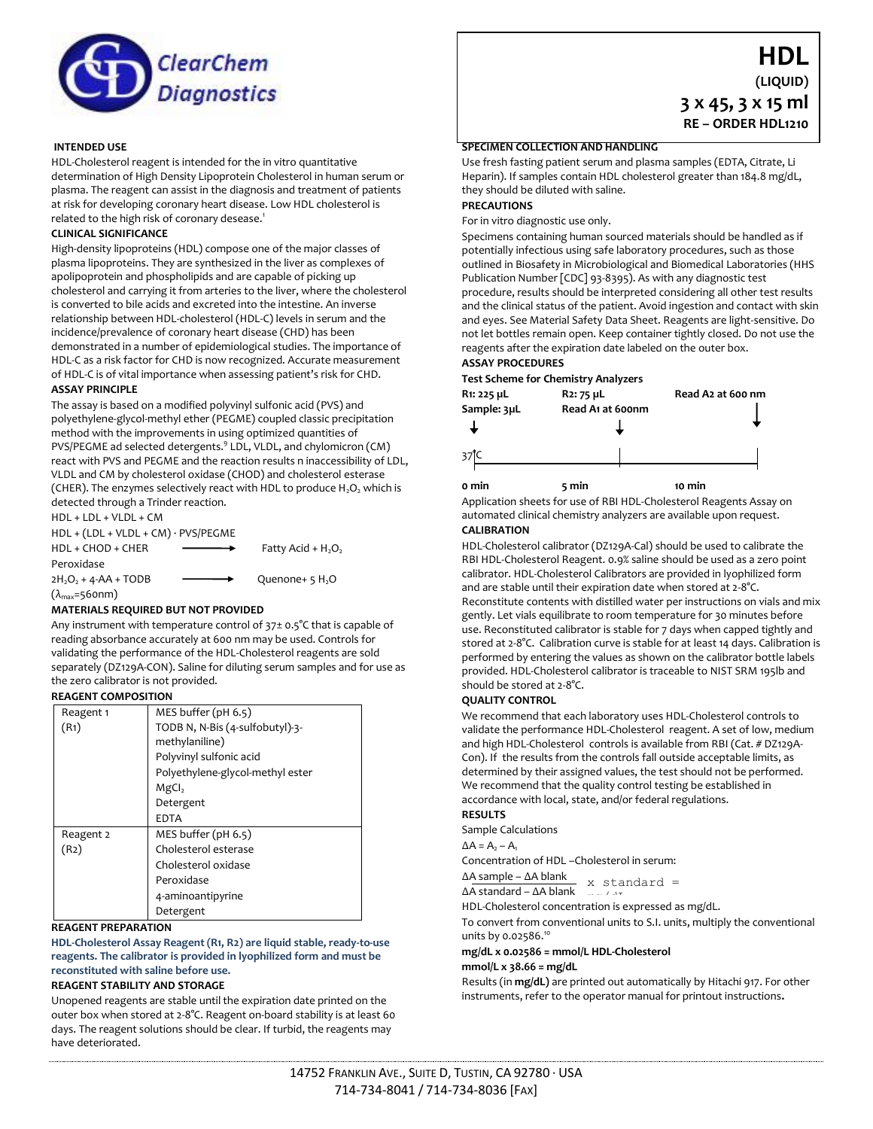

# **INTENDED USE**

HDL-Cholesterol reagent is intended for the in vitro quantitative determination of High Density Lipoprotein Cholesterol in human serum or plasma. The reagent can assist in the diagnosis and treatment of patients at risk for developing coronary heart disease. Low HDL cholesterol is related to the high risk of coronary desease.<sup>1</sup>

## **CLINICAL SIGNIFICANCE**

High-density lipoproteins (HDL) compose one of the major classes of plasma lipoproteins. They are synthesized in the liver as complexes of apolipoprotein and phospholipids and are capable of picking up cholesterol and carrying it from arteries to the liver, where the cholesterol is converted to bile acids and excreted into the intestine. An inverse relationship between HDL-cholesterol (HDL-C) levels in serum and the incidence/prevalence of coronary heart disease (CHD) has been demonstrated in a number of epidemiological studies. The importance of HDL-C as a risk factor for CHD is now recognized. Accurate measurement of HDL-C is of vital importance when assessing patient's risk for CHD.

## **ASSAY PRINCIPLE**

The assay is based on a modified polyvinyl sulfonic acid (PVS) and polyethylene-glycol-methyl ether (PEGME) coupled classic precipitation method with the improvements in using optimized quantities of PVS/PEGME ad selected detergents.<sup>9</sup> LDL, VLDL, and chylomicron (CM) react with PVS and PEGME and the reaction results n inaccessibility of LDL, VLDL and CM by cholesterol oxidase (CHOD) and cholesterol esterase (CHER). The enzymes selectively react with HDL to produce  $H_2O_2$  which is detected through a Trinder reaction.

HDL + LDL + VLDL + CM HDL + (LDL + VLDL + CM) · PVS/PEGME  $HDL + CHOD + CHER$  Fatty Acid + H<sub>2</sub>O<sub>2</sub> Peroxidase  $2H_2O_2 + 4$ -AA + TODB  $\longrightarrow$  Quenone+ 5 H<sub>2</sub>O  $(\lambda_{\text{max}}=560$ nm)

#### **MATERIALS REQUIRED BUT NOT PROVIDED**

Any instrument with temperature control of 37± 0.5°C that is capable of reading absorbance accurately at 600 nm may be used. Controls for validating the performance of the HDL-Cholesterol reagents are sold separately (DZ129A-CON). Saline for diluting serum samples and for use as the zero calibrator is not provided.

## **REAGENT COMPOSITION**

| Reagent 1         | MES buffer (pH 6.5)              |  |  |
|-------------------|----------------------------------|--|--|
| (R <sub>1</sub> ) | TODB N, N-Bis (4-sulfobutyl)-3-  |  |  |
|                   | methylaniline)                   |  |  |
|                   | Polyvinyl sulfonic acid          |  |  |
|                   | Polyethylene-glycol-methyl ester |  |  |
|                   | MgCl <sub>2</sub>                |  |  |
|                   | Detergent                        |  |  |
|                   | <b>EDTA</b>                      |  |  |
| Reagent 2         | MES buffer $(\text{pH } 6.5)$    |  |  |
| (R2)              | Cholesterol esterase             |  |  |
|                   | Cholesterol oxidase              |  |  |
|                   | Peroxidase                       |  |  |
|                   | 4-aminoantipyrine                |  |  |
|                   | Detergent                        |  |  |

#### **REAGENT PREPARATION**

**HDL-Cholesterol Assay Reagent (R1, R2) are liquid stable, ready-to-use reagents. The calibrator is provided in lyophilized form and must be reconstituted with saline before use.**

# **REAGENT STABILITY AND STORAGE**

Unopened reagents are stable until the expiration date printed on the outer box when stored at 2-8°C. Reagent on-board stability is at least 60 days. The reagent solutions should be clear. If turbid, the reagents may have deteriorated.

# **SPECIMEN COLLECTION AND HANDLING**

Use fresh fasting patient serum and plasma samples (EDTA, Citrate, Li Heparin). If samples contain HDL cholesterol greater than 184.8 mg/dL, they should be diluted with saline.

**HDL (LIQUID)**

**3 x 45, 3 x 15 ml RE – ORDER HDL1210**

# **PRECAUTIONS**

For in vitro diagnostic use only.

Specimens containing human sourced materials should be handled as if potentially infectious using safe laboratory procedures, such as those outlined in Biosafety in Microbiological and Biomedical Laboratories (HHS Publication Number [CDC] 93-8395). As with any diagnostic test procedure, results should be interpreted considering all other test results and the clinical status of the patient. Avoid ingestion and contact with skin and eyes. See Material Safety Data Sheet. Reagents are light-sensitive. Do not let bottles remain open. Keep container tightly closed. Do not use the reagents after the expiration date labeled on the outer box.

# **ASSAY PROCEDURES**



**0 min 5 min 10 min**

Application sheets for use of RBI HDL-Cholesterol Reagents Assay on automated clinical chemistry analyzers are available upon request. **CALIBRATION**

HDL-Cholesterol calibrator (DZ129A-Cal) should be used to calibrate the RBI HDL-Cholesterol Reagent. 0.9% saline should be used as a zero point calibrator. HDL-Cholesterol Calibrators are provided in lyophilized form and are stable until their expiration date when stored at 2-8°C. Reconstitute contents with distilled water per instructions on vials and mix gently. Let vials equilibrate to room temperature for 30 minutes before use. Reconstituted calibrator is stable for 7 days when capped tightly and stored at 2-8°C. Calibration curve is stable for at least 14 days. Calibration is performed by entering the values as shown on the calibrator bottle labels provided. HDL-Cholesterol calibrator is traceable to NIST SRM 195lb and should be stored at 2-8°C.

#### **QUALITY CONTROL**

We recommend that each laboratory uses HDL-Cholesterol controls to validate the performance HDL-Cholesterol reagent. A set of low, medium and high HDL-Cholesterol controls is available from RBI (Cat. # DZ129A-Con). If the results from the controls fall outside acceptable limits, as determined by their assigned values, the test should not be performed. We recommend that the quality control testing be established in accordance with local, state, and/or federal regulations.

## **RESULTS**

Sample Calculations  $\Delta A = A_2 - A_1$ 

Concentration of HDL –Cholesterol in serum:

∆A sample – ∆A blank ∆A standard – ∆A blank x standard =

∆A standard – ∆A biank and a sexpressed as mg/dL.<br>HDL-Cholesterol concentration is expressed as mg/dL.

To convert from conventional units to S.I. units, multiply the conventional

units by 0.02586.<sup>10</sup> **mg/dL x 0.02586 = mmol/L HDL-Cholesterol**

# **mmol/L x 38.66 = mg/dL**

Results (in **mg/dL)** are printed out automatically by Hitachi 917. For other

instruments, refer to the operator manual for printout instructions**.**